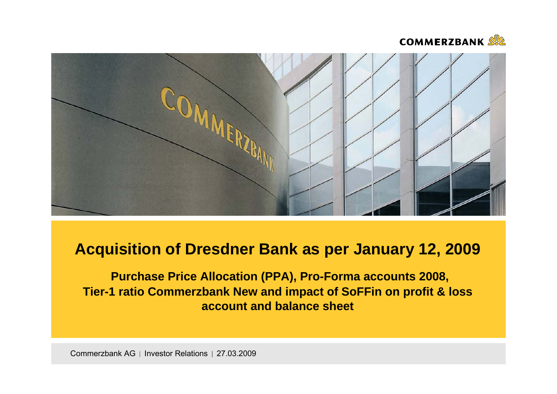



# **Acquisition of Dresdner Bank as per January 12, 2009**

**Purchase Price Allocation (PPA), Pro-Forma accounts 2008, Tier-1 ratio Commerzbank New and impact of SoFFin on profit & loss account and balance sheet**

Commerzbank AG | Investor Relations | 27.03.2009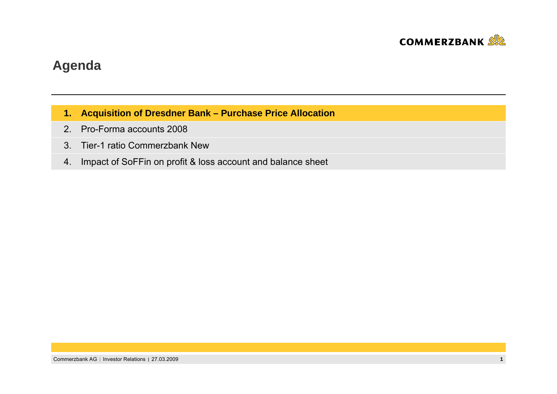

### **Agenda**

- **1. Acquisition of Dresdner Bank – Purchase Price Allocation**
- 2. Pro-Forma accounts 2008
- 3. Tier-1 ratio Commerzbank New
- 4. Impact of SoFFin on profit & loss account and balance sheet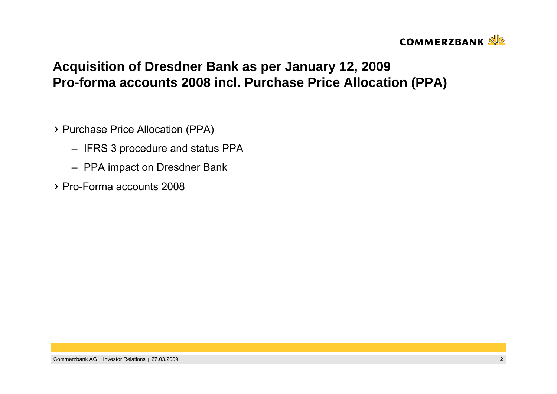

## **Acquisition of Dresdner Bank as per January 12, 2009 Pro-forma accounts 2008 incl. Purchase Price Allocation (PPA)**

- Purchase Price Allocation (PPA)
	- IFRS 3 procedure and status PPA
	- PPA impact on Dresdner Bank
- Pro-Forma accounts 2008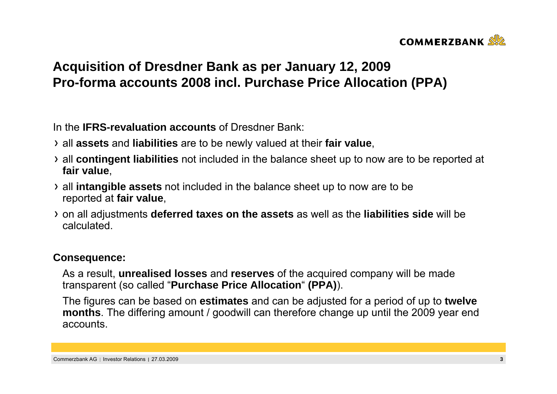

## **Acquisition of Dresdner Bank as per January 12, 2009 Pro-forma accounts 2008 incl. Purchase Price Allocation (PPA)**

In the **IFRS-revaluation accounts** of Dresdner Bank:

- all **assets** and **liabilities** are to be newly valued at their **fair value**,
- all **contingent liabilities** not included in the balance sheet up to now are to be reported at **fair value**,
- all **intangible assets** not included in the balance sheet up to now are to be reported at **fair value**,
- on all adjustments **deferred taxes on the assets** as well as the **liabilities side** will be calculated.

#### **Consequence:**

As a result, **unrealised losses** and **reserves** of the acquired company will be made transparent (so called "**Purchase Price Allocation**" **(PPA)**).

The figures can be based on **estimates** and can be adjusted for a period of up to **twelve months**. The differing amount / goodwill can therefore change up until the 2009 year end accounts.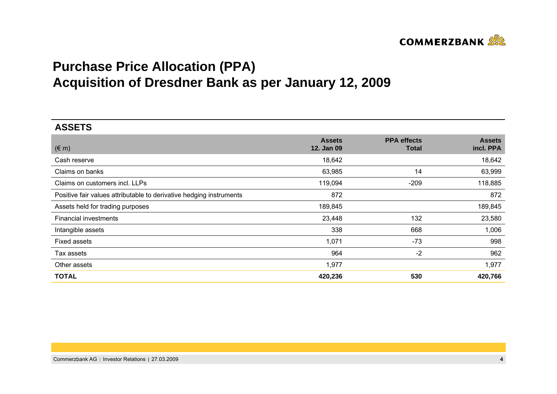

# **Purchase Price Allocation (PPA) Acquisition of Dresdner Bank as per January 12, 2009**

| <b>ASSETS</b>                                                       |                             |                                    |                            |
|---------------------------------------------------------------------|-----------------------------|------------------------------------|----------------------------|
| $(\in$ m)                                                           | <b>Assets</b><br>12. Jan 09 | <b>PPA</b> effects<br><b>Total</b> | <b>Assets</b><br>incl. PPA |
| Cash reserve                                                        | 18,642                      |                                    | 18,642                     |
| Claims on banks                                                     | 63,985                      | 14                                 | 63,999                     |
| Claims on customers incl. LLPs                                      | 119,094                     | $-209$                             | 118,885                    |
| Positive fair values attributable to derivative hedging instruments | 872                         |                                    | 872                        |
| Assets held for trading purposes                                    | 189,845                     |                                    | 189,845                    |
| Financial investments                                               | 23,448                      | 132                                | 23,580                     |
| Intangible assets                                                   | 338                         | 668                                | 1,006                      |
| <b>Fixed assets</b>                                                 | 1,071                       | $-73$                              | 998                        |
| Tax assets                                                          | 964                         | $-2$                               | 962                        |
| Other assets                                                        | 1,977                       |                                    | 1,977                      |
| <b>TOTAL</b>                                                        | 420,236                     | 530                                | 420,766                    |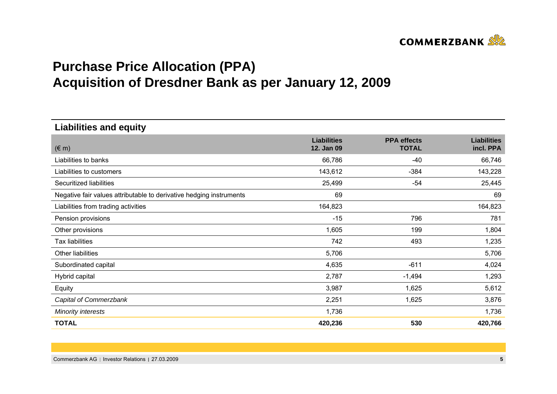

# **Purchase Price Allocation (PPA) Acquisition of Dresdner Bank as per January 12, 2009**

**Liabilities and equity**

| $(\in$ m)                                                           | <b>Liabilities</b><br>12. Jan 09 | <b>PPA</b> effects<br><b>TOTAL</b> | <b>Liabilities</b><br>incl. PPA |
|---------------------------------------------------------------------|----------------------------------|------------------------------------|---------------------------------|
| Liabilities to banks                                                | 66,786                           | $-40$                              | 66,746                          |
| Liabilities to customers                                            | 143,612                          | $-384$                             | 143,228                         |
| Securitized liabilities                                             | 25,499                           | $-54$                              | 25,445                          |
| Negative fair values attributable to derivative hedging instruments | 69                               |                                    | 69                              |
| Liabilities from trading activities                                 | 164,823                          |                                    | 164,823                         |
| Pension provisions                                                  | $-15$                            | 796                                | 781                             |
| Other provisions                                                    | 1,605                            | 199                                | 1,804                           |
| <b>Tax liabilities</b>                                              | 742                              | 493                                | 1,235                           |
| Other liabilities                                                   | 5,706                            |                                    | 5,706                           |
| Subordinated capital                                                | 4,635                            | $-611$                             | 4,024                           |
| Hybrid capital                                                      | 2,787                            | $-1,494$                           | 1,293                           |
| Equity                                                              | 3,987                            | 1,625                              | 5,612                           |
| Capital of Commerzbank                                              | 2,251                            | 1,625                              | 3,876                           |
| <b>Minority interests</b>                                           | 1,736                            |                                    | 1,736                           |
| <b>TOTAL</b>                                                        | 420,236                          | 530                                | 420,766                         |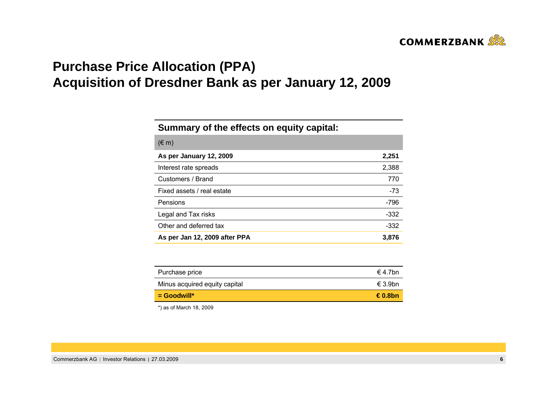

## **Purchase Price Allocation (PPA) Acquisition of Dresdner Bank as per January 12, 2009**

#### **Summary of the effects on equity capital:**

| $(\in$ m)                     |        |
|-------------------------------|--------|
| As per January 12, 2009       | 2,251  |
| Interest rate spreads         | 2,388  |
| Customers / Brand             | 770    |
| Fixed assets / real estate    | $-73$  |
| Pensions                      | $-796$ |
| Legal and Tax risks           | -332   |
| Other and deferred tax        | -332   |
| As per Jan 12, 2009 after PPA | 3,876  |

| Purchase price                | $\in$ 4.7bn |
|-------------------------------|-------------|
| Minus acquired equity capital | € 3.9bn     |
| $\blacksquare$ Goodwill*      | €0.8bn      |

\*) as of March 18, 2009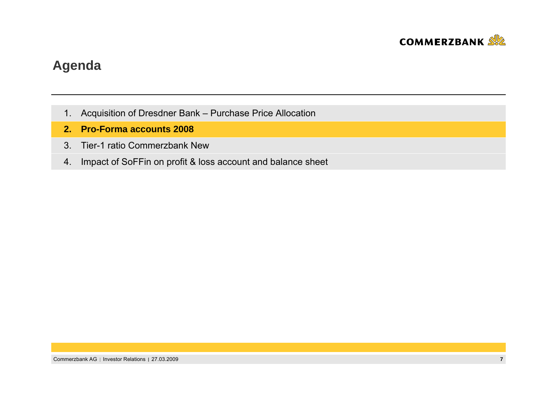

### **Agenda**

- 1. Acquisition of Dresdner Bank Purchase Price Allocation
- **2.Pro-Forma accounts 2008**
- 3. Tier-1 ratio Commerzbank New
- 4. Impact of SoFFin on profit & loss account and balance sheet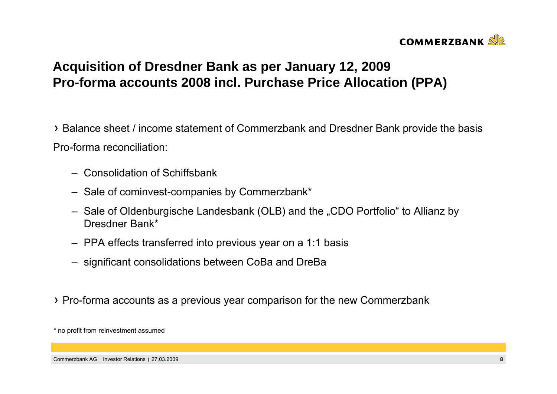

## **Acquisition of Dresdner Bank as per January 12, 2009 Pro-forma accounts 2008 incl. Purchase Price Allocation (PPA)**

Balance sheet / income statement of Commerzbank and Dresdner Bank provide the basis Pro-forma reconciliation:

- Consolidation of Schiffsbank
- Sale of cominvest-companies by Commerzbank\*
- Sale of Oldenburgische Landesbank (OLB) and the "CDO Portfolio" to Allianz by Dresdner Bank\*
- PPA effects transferred into previous year on a 1:1 basis
- significant consolidations between CoBa and DreBa
- Pro-forma accounts as a previous year comparison for the new Commerzbank

<sup>\*</sup> no profit from reinvestment assumed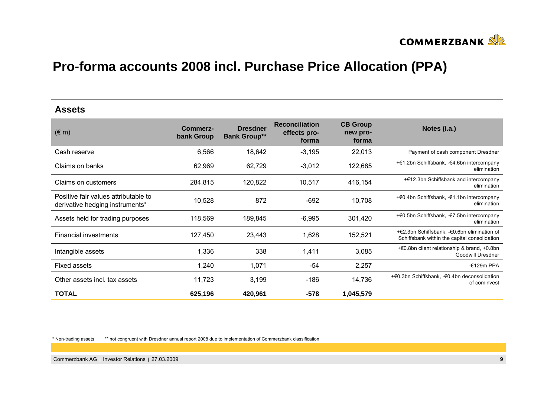

#### **Assets**

| $(\in$ m)                                                               | Commerz-<br>bank Group | <b>Dresdner</b><br><b>Bank Group**</b> | <b>Reconciliation</b><br>effects pro-<br>forma | <b>CB Group</b><br>new pro-<br>forma | Notes (i.a.)                                                                                |
|-------------------------------------------------------------------------|------------------------|----------------------------------------|------------------------------------------------|--------------------------------------|---------------------------------------------------------------------------------------------|
| Cash reserve                                                            | 6,566                  | 18,642                                 | $-3,195$                                       | 22,013                               | Payment of cash component Dresdner                                                          |
| Claims on banks                                                         | 62,969                 | 62,729                                 | $-3,012$                                       | 122,685                              | +€1.2bn Schiffsbank, -€4.6bn intercompany<br>elimination                                    |
| Claims on customers                                                     | 284,815                | 120,822                                | 10,517                                         | 416,154                              | +€12.3bn Schiffsbank and intercompany<br>elimination                                        |
| Positive fair values attributable to<br>derivative hedging instruments* | 10,528                 | 872                                    | $-692$                                         | 10,708                               | +€0.4bn Schiffsbank, -€1.1bn intercompany<br>elimination                                    |
| Assets held for trading purposes                                        | 118,569                | 189,845                                | $-6,995$                                       | 301,420                              | +€0.5bn Schiffsbank, -€7.5bn intercompany<br>elimination                                    |
| <b>Financial investments</b>                                            | 127,450                | 23,443                                 | 1,628                                          | 152,521                              | +€2.3bn Schiffsbank, -€0.6bn elimination of<br>Schiffsbank within the capital consolidation |
| Intangible assets                                                       | 1,336                  | 338                                    | 1,411                                          | 3,085                                | +€0.8bn client relationship & brand, +0.8bn<br><b>Goodwill Dresdner</b>                     |
| <b>Fixed assets</b>                                                     | 1,240                  | 1,071                                  | -54                                            | 2,257                                | $-£129m$ PPA                                                                                |
| Other assets incl. tax assets                                           | 11,723                 | 3,199                                  | $-186$                                         | 14,736                               | +€0.3bn Schiffsbank, -€0.4bn deconsolidation<br>of cominvest                                |
| <b>TOTAL</b>                                                            | 625,196                | 420,961                                | $-578$                                         | 1,045,579                            |                                                                                             |

\* Non-trading assets

\*\* not congruent with Dresdner annual report 2008 due to implementation of Commerzbank classification

Commerzbank AG Investor Relations 27.03.2009 **9**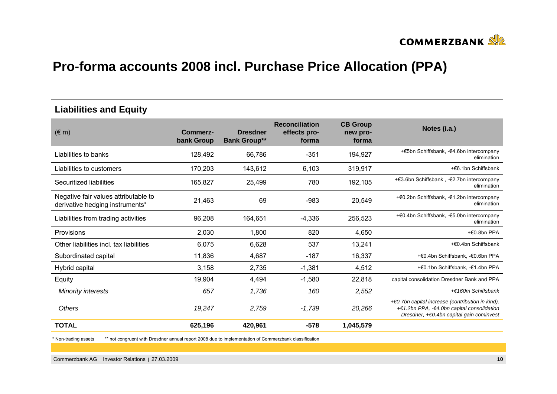

#### **Liabilities and Equity**

| $(\in$ m)                                                               | Commerz-<br>bank Group | <b>Dresdner</b><br><b>Bank Group**</b> | <b>Reconciliation</b><br>effects pro-<br>forma | <b>CB Group</b><br>new pro-<br>forma | Notes (i.a.)                                                                                                                                  |
|-------------------------------------------------------------------------|------------------------|----------------------------------------|------------------------------------------------|--------------------------------------|-----------------------------------------------------------------------------------------------------------------------------------------------|
| Liabilities to banks                                                    | 128,492                | 66,786                                 | $-351$                                         | 194,927                              | +€5bn Schiffsbank, -€4.6bn intercompany<br>elimination                                                                                        |
| Liabilities to customers                                                | 170,203                | 143,612                                | 6,103                                          | 319,917                              | +€6.1bn Schiffsbank                                                                                                                           |
| Securitized liabilities                                                 | 165,827                | 25,499                                 | 780                                            | 192,105                              | +€3.6bn Schiffsbank, -€2.7bn intercompany<br>elimination                                                                                      |
| Negative fair values attributable to<br>derivative hedging instruments* | 21,463                 | 69                                     | $-983$                                         | 20,549                               | +€0.2bn Schiffsbank, -€1.2bn intercompany<br>elimination                                                                                      |
| Liabilities from trading activities                                     | 96,208                 | 164,651                                | $-4,336$                                       | 256,523                              | + €0.4bn Schiffsbank, - €5.0bn intercompany<br>elimination                                                                                    |
| <b>Provisions</b>                                                       | 2,030                  | 1,800                                  | 820                                            | 4,650                                | +€0.8bn PPA                                                                                                                                   |
| Other liabilities incl. tax liabilities                                 | 6,075                  | 6,628                                  | 537                                            | 13,241                               | +€0.4bn Schiffsbank                                                                                                                           |
| Subordinated capital                                                    | 11,836                 | 4,687                                  | $-187$                                         | 16,337                               | +€0.4bn Schiffsbank, -€0.6bn PPA                                                                                                              |
| Hybrid capital                                                          | 3,158                  | 2,735                                  | $-1,381$                                       | 4,512                                | +€0.1bn Schiffsbank, -€1.4bn PPA                                                                                                              |
| Equity                                                                  | 19,904                 | 4,494                                  | $-1,580$                                       | 22,818                               | capital consolidation Dresdner Bank and PPA                                                                                                   |
| <b>Minority interests</b>                                               | 657                    | 1,736                                  | 160                                            | 2,552                                | +€160m Schiffsbank                                                                                                                            |
| Others                                                                  | 19,247                 | 2,759                                  | $-1,739$                                       | 20,266                               | $+60.7$ bn capital increase (contribution in kind),<br>+€1.2bn PPA, -€4.0bn capital consolidation<br>Dresdner, +€0.4bn capital gain cominvest |
| <b>TOTAL</b>                                                            | 625,196                | 420,961                                | $-578$                                         | 1,045,579                            |                                                                                                                                               |

\* Non-trading assets \*\* not congruent with Dresdner annual report 2008 due to implementation of Commerzbank classification

Commerzbank AG Investor Relations 27.03.2009 **10**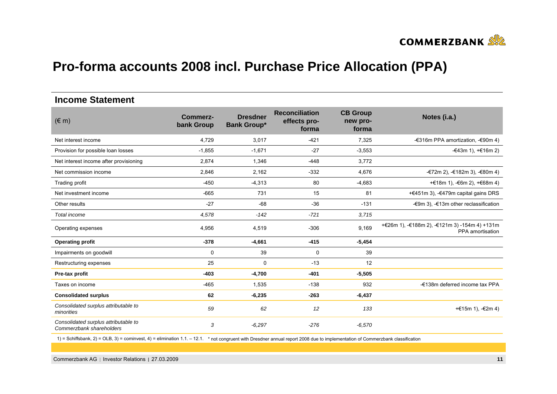

#### **Income Statement**

| $(\in$ m)                                                        | <b>Commerz-</b><br>bank Group | <b>Dresdner</b><br><b>Bank Group*</b> | <b>Reconciliation</b><br>effects pro-<br>forma | <b>CB Group</b><br>new pro-<br>forma | Notes (i.a.)                                                      |
|------------------------------------------------------------------|-------------------------------|---------------------------------------|------------------------------------------------|--------------------------------------|-------------------------------------------------------------------|
| Net interest income                                              | 4,729                         | 3,017                                 | $-421$                                         | 7,325                                | -€316m PPA amortization, -€90m 4)                                 |
| Provision for possible loan losses                               | $-1,855$                      | $-1,671$                              | $-27$                                          | $-3,553$                             | -€43m 1), $+€16m 2$ )                                             |
| Net interest income after provisioning                           | 2,874                         | 1,346                                 | $-448$                                         | 3,772                                |                                                                   |
| Net commission income                                            | 2,846                         | 2,162                                 | $-332$                                         | 4,676                                | -€72m 2), -€182m 3), -€80m 4)                                     |
| Trading profit                                                   | $-450$                        | $-4,313$                              | 80                                             | $-4,683$                             | +€18m 1), $-6$ 6m 2), $+66$ 8m 4)                                 |
| Net investment income                                            | $-665$                        | 731                                   | 15                                             | 81                                   | +€451m 3), -€479m capital gains DRS                               |
| Other results                                                    | $-27$                         | $-68$                                 | $-36$                                          | $-131$                               | $-$ €9m 3), $-$ €13m other reclassification                       |
| Total income                                                     | 4,578                         | $-142$                                | $-721$                                         | 3,715                                |                                                                   |
| Operating expenses                                               | 4,956                         | 4,519                                 | $-306$                                         | 9,169                                | +€26m 1), -€188m 2), -€121m 3) -154m 4) +131m<br>PPA amortisation |
| <b>Operating profit</b>                                          | $-378$                        | $-4,661$                              | $-415$                                         | $-5,454$                             |                                                                   |
| Impairments on goodwill                                          | 0                             | 39                                    | 0                                              | 39                                   |                                                                   |
| Restructuring expenses                                           | 25                            | $\mathbf 0$                           | $-13$                                          | 12                                   |                                                                   |
| Pre-tax profit                                                   | $-403$                        | $-4,700$                              | $-401$                                         | $-5,505$                             |                                                                   |
| Taxes on income                                                  | $-465$                        | 1,535                                 | $-138$                                         | 932                                  | -€138m deferred income tax PPA                                    |
| <b>Consolidated surplus</b>                                      | 62                            | $-6,235$                              | $-263$                                         | $-6,437$                             |                                                                   |
| Consolidated surplus attributable to<br>minorities               | 59                            | 62                                    | 12                                             | 133                                  | + €15 m 1), $-$ €2 m 4)                                           |
| Consolidated surplus attributable to<br>Commerzbank shareholders | 3                             | $-6,297$                              | $-276$                                         | $-6,570$                             |                                                                   |

1) = Schiffsbank, 2) = OLB, 3) = cominvest, 4) = elimination 1.1. – 12.1. \* not congruent with Dresdner annual report 2008 due to implementation of Commerzbank classification

Commerzbank AG Investor Relations 27.03.2009 **11**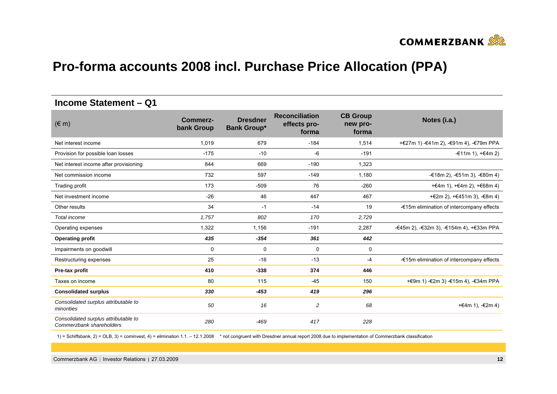

#### **Income Statement – Q1**

| $(\in$ m)                                                        | Commerz-<br>bank Group | <b>Dresdner</b><br><b>Bank Group*</b> | <b>Reconciliation</b><br>effects pro-<br>forma | <b>CB Group</b><br>new pro-<br>forma | Notes (i.a.)                              |
|------------------------------------------------------------------|------------------------|---------------------------------------|------------------------------------------------|--------------------------------------|-------------------------------------------|
| Net interest income                                              | 1,019                  | 679                                   | $-184$                                         | 1,514                                | +€27m 1) -€41m 2), -€91m 4), -€79m PPA    |
| Provision for possible loan losses                               | $-175$                 | $-10$                                 | -6                                             | $-191$                               | -€11m 1), +€4m 2)                         |
| Net interest income after provisioning                           | 844                    | 669                                   | $-190$                                         | 1,323                                |                                           |
| Net commission income                                            | 732                    | 597                                   | $-149$                                         | 1,180                                | -€18m 2), -€51m 3), -€80m 4)              |
| Trading profit                                                   | 173                    | $-509$                                | 76                                             | $-260$                               | $+€4m 1$ , $+€4m 2$ , $+€68m 4$ )         |
| Net investment income                                            | $-26$                  | 46                                    | 447                                            | 467                                  | +€2m 2), +€451m 3), -€8m 4)               |
| Other results                                                    | 34                     | $-1$                                  | $-14$                                          | 19                                   | -€15m elimination of intercompany effects |
| Total income                                                     | 1,757                  | 802                                   | 170                                            | 2,729                                |                                           |
| Operating expenses                                               | 1,322                  | 1,156                                 | $-191$                                         | 2,287                                | -€45m 2), -€32m 3), -€154m 4), +€33m PPA  |
| <b>Operating profit</b>                                          | 435                    | $-354$                                | 361                                            | 442                                  |                                           |
| Impairments on goodwill                                          | $\Omega$               | 0                                     | 0                                              | 0                                    |                                           |
| Restructuring expenses                                           | 25                     | $-16$                                 | $-13$                                          | $-4$                                 | -€15m elimination of intercompany effects |
| Pre-tax profit                                                   | 410                    | $-338$                                | 374                                            | 446                                  |                                           |
| Taxes on income                                                  | 80                     | 115                                   | $-45$                                          | 150                                  | + €9m 1) - €2m 3) - €15m 4), - €34m PPA   |
| <b>Consolidated surplus</b>                                      | 330                    | $-453$                                | 419                                            | 296                                  |                                           |
| Consolidated surplus attributable to<br>minorities               | 50                     | 16                                    | 2                                              | 68                                   | +€4m 1), $-€2m 4$ )                       |
| Consolidated surplus attributable to<br>Commerzbank shareholders | 280                    | $-469$                                | 417                                            | 228                                  |                                           |

1) = Schiffsbank, 2) = OLB, 3) = cominvest, 4) = elimination 1.1. – 12.1.2008 \* not congruent with Dresdner annual report 2008 due to implementation of Commerzbank classification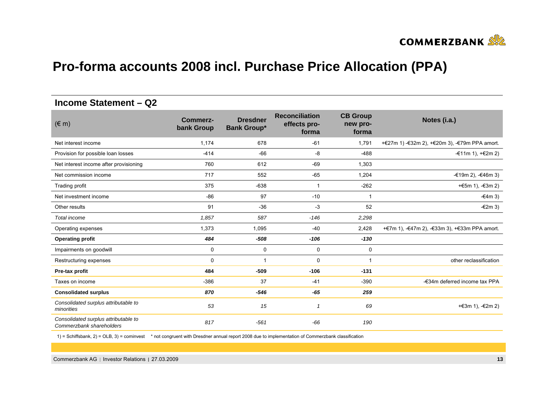

#### **Income Statement – Q2**

| $(\in$ m)                                                        | <b>Commerz-</b><br>bank Group | <b>Dresdner</b><br><b>Bank Group*</b> | <b>Reconciliation</b><br>effects pro-<br>forma | <b>CB Group</b><br>new pro-<br>forma | Notes (i.a.)                                  |
|------------------------------------------------------------------|-------------------------------|---------------------------------------|------------------------------------------------|--------------------------------------|-----------------------------------------------|
| Net interest income                                              | 1,174                         | 678                                   | $-61$                                          | 1,791                                | +€27m 1) -€32m 2), +€20m 3), -€79m PPA amort. |
| Provision for possible loan losses                               | $-414$                        | $-66$                                 | -8                                             | $-488$                               | -€11m 1), $+€2m 2$ )                          |
| Net interest income after provisioning                           | 760                           | 612                                   | $-69$                                          | 1,303                                |                                               |
| Net commission income                                            | 717                           | 552                                   | $-65$                                          | 1,204                                | -€19m 2), -€46m 3)                            |
| Trading profit                                                   | 375                           | $-638$                                | $\mathbf{1}$                                   | $-262$                               | +€5m 1), $-€3m 2)$                            |
| Net investment income                                            | $-86$                         | 97                                    | $-10$                                          |                                      | $-64m3$                                       |
| Other results                                                    | 91                            | $-36$                                 | $-3$                                           | 52                                   | $-£2m3)$                                      |
| Total income                                                     | 1,857                         | 587                                   | $-146$                                         | 2,298                                |                                               |
| Operating expenses                                               | 1,373                         | 1,095                                 | $-40$                                          | 2,428                                | +€7m 1), -€47m 2), -€33m 3), +€33m PPA amort. |
| <b>Operating profit</b>                                          | 484                           | $-508$                                | $-106$                                         | $-130$                               |                                               |
| Impairments on goodwill                                          | 0                             | $\mathbf 0$                           | 0                                              | 0                                    |                                               |
| Restructuring expenses                                           | $\Omega$                      | 1                                     | 0                                              | -1                                   | other reclassification                        |
| Pre-tax profit                                                   | 484                           | $-509$                                | $-106$                                         | $-131$                               |                                               |
| Taxes on income                                                  | $-386$                        | 37                                    | $-41$                                          | $-390$                               | -€34m deferred income tax PPA                 |
| <b>Consolidated surplus</b>                                      | 870                           | $-546$                                | $-65$                                          | 259                                  |                                               |
| Consolidated surplus attributable to<br>minorities               | 53                            | 15                                    | $\mathcal I$                                   | 69                                   | +€3m 1), -€2m 2)                              |
| Consolidated surplus attributable to<br>Commerzbank shareholders | 817                           | $-561$                                | $-66$                                          | 190                                  |                                               |

1) = Schiffsbank, 2) = OLB, 3) = cominvest \* not congruent with Dresdner annual report 2008 due to implementation of Commerzbank classification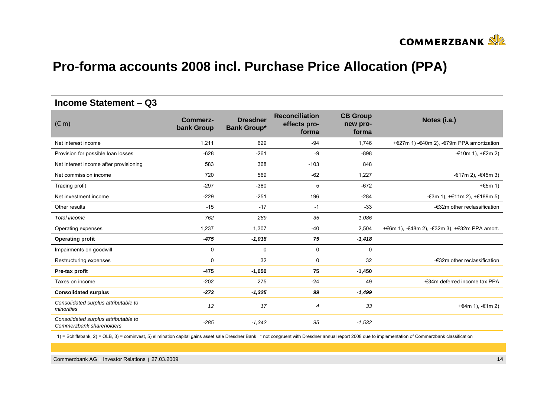

#### **Income Statement – Q3**

| $(\in$ m)                                                        | Commerz-<br>bank Group | <b>Dresdner</b><br><b>Bank Group*</b> | <b>Reconciliation</b><br>effects pro-<br>forma | <b>CB Group</b><br>new pro-<br>forma | Notes (i.a.)                                  |
|------------------------------------------------------------------|------------------------|---------------------------------------|------------------------------------------------|--------------------------------------|-----------------------------------------------|
| Net interest income                                              | 1,211                  | 629                                   | $-94$                                          | 1,746                                | +€27m 1) -€40m 2), -€79m PPA amortization     |
| Provision for possible loan losses                               | $-628$                 | $-261$                                | -9                                             | $-898$                               | $-€10m 1$ , $+€2m 2$ )                        |
| Net interest income after provisioning                           | 583                    | 368                                   | $-103$                                         | 848                                  |                                               |
| Net commission income                                            | 720                    | 569                                   | $-62$                                          | 1,227                                | -€17m 2), -€45m 3)                            |
| Trading profit                                                   | $-297$                 | $-380$                                | 5                                              | $-672$                               | $+£5m 1)$                                     |
| Net investment income                                            | $-229$                 | $-251$                                | 196                                            | $-284$                               | -€3m 1), +€11m 2), +€189m 5)                  |
| Other results                                                    | $-15$                  | $-17$                                 | $-1$                                           | $-33$                                | -€32m other reclassification                  |
| Total income                                                     | 762                    | 289                                   | 35                                             | 1,086                                |                                               |
| Operating expenses                                               | 1,237                  | 1,307                                 | $-40$                                          | 2,504                                | +€6m 1), -€48m 2), -€32m 3), +€32m PPA amort. |
| <b>Operating profit</b>                                          | $-475$                 | $-1,018$                              | 75                                             | $-1,418$                             |                                               |
| Impairments on goodwill                                          | 0                      | 0                                     | 0                                              | 0                                    |                                               |
| Restructuring expenses                                           | 0                      | 32                                    | 0                                              | 32                                   | -€32m other reclassification                  |
| Pre-tax profit                                                   | $-475$                 | $-1,050$                              | 75                                             | $-1,450$                             |                                               |
| Taxes on income                                                  | $-202$                 | 275                                   | $-24$                                          | 49                                   | -€34m deferred income tax PPA                 |
| <b>Consolidated surplus</b>                                      | $-273$                 | $-1,325$                              | 99                                             | $-1,499$                             |                                               |
| Consolidated surplus attributable to<br>minorities               | 12                     | 17                                    | 4                                              | 33                                   | +€4m 1), $-£1m 2$                             |
| Consolidated surplus attributable to<br>Commerzbank shareholders | $-285$                 | $-1,342$                              | 95                                             | $-1,532$                             |                                               |

1) = Schiffsbank, 2) = OLB, 3) = cominvest, 5) elimination capital gains asset sale Dresdner Bank \* not congruent with Dresdner annual report 2008 due to implementation of Commerzbank classification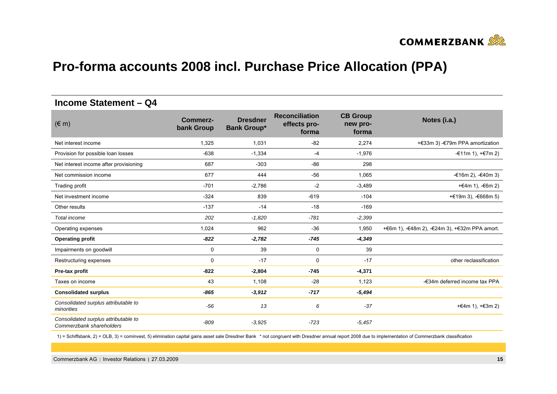

#### **Income Statement – Q4**

| $(\in$ m)                                                        | <b>Commerz-</b><br>bank Group | <b>Dresdner</b><br><b>Bank Group*</b> | <b>Reconciliation</b><br>effects pro-<br>forma | <b>CB Group</b><br>new pro-<br>forma | Notes (i.a.)                                  |
|------------------------------------------------------------------|-------------------------------|---------------------------------------|------------------------------------------------|--------------------------------------|-----------------------------------------------|
| Net interest income                                              | 1,325                         | 1,031                                 | $-82$                                          | 2,274                                | +€33m 3) -€79m PPA amortization               |
| Provision for possible loan losses                               | $-638$                        | $-1,334$                              | $-4$                                           | $-1,976$                             | $=$ €11m 1), $=$ €7m 2)                       |
| Net interest income after provisioning                           | 687                           | $-303$                                | $-86$                                          | 298                                  |                                               |
| Net commission income                                            | 677                           | 444                                   | $-56$                                          | 1,065                                | $-€16m 2$ ), $-€40m 3$ )                      |
| Trading profit                                                   | $-701$                        | $-2,786$                              | $-2$                                           | $-3,489$                             | +€4m 1), $-6$ 6m 2)                           |
| Net investment income                                            | $-324$                        | 839                                   | $-619$                                         | $-104$                               | + €19 m 3), $-668m 5$                         |
| Other results                                                    | $-137$                        | $-14$                                 | $-18$                                          | $-169$                               |                                               |
| Total income                                                     | 202                           | $-1,820$                              | $-781$                                         | $-2,399$                             |                                               |
| Operating expenses                                               | 1,024                         | 962                                   | $-36$                                          | 1,950                                | +€6m 1), -€48m 2), -€24m 3), +€32m PPA amort. |
| <b>Operating profit</b>                                          | $-822$                        | $-2,782$                              | $-745$                                         | $-4,349$                             |                                               |
| Impairments on goodwill                                          | 0                             | 39                                    | 0                                              | 39                                   |                                               |
| Restructuring expenses                                           | 0                             | $-17$                                 | 0                                              | $-17$                                | other reclassification                        |
| Pre-tax profit                                                   | $-822$                        | $-2,804$                              | $-745$                                         | $-4,371$                             |                                               |
| Taxes on income                                                  | 43                            | 1.108                                 | $-28$                                          | 1,123                                | -€34m deferred income tax PPA                 |
| <b>Consolidated surplus</b>                                      | $-865$                        | $-3,912$                              | $-717$                                         | $-5,494$                             |                                               |
| Consolidated surplus attributable to<br>minorities               | $-56$                         | 13                                    | 6                                              | $-37$                                | +€4m 1), $+€3m 2$ )                           |
| Consolidated surplus attributable to<br>Commerzbank shareholders | $-809$                        | $-3.925$                              | $-723$                                         | $-5,457$                             |                                               |

1) = Schiffsbank, 2) = OLB, 3) = cominvest, 5) elimination capital gains asset sale Dresdner Bank \* not congruent with Dresdner annual report 2008 due to implementation of Commerzbank classification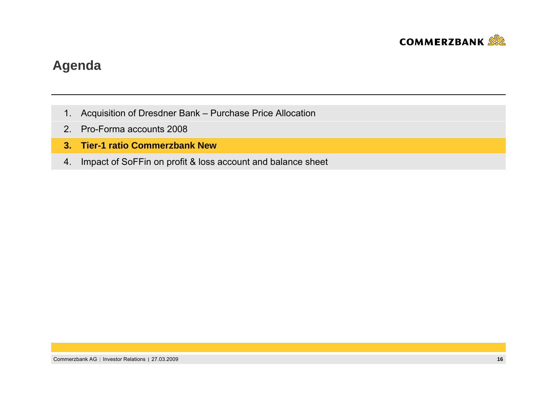

### **Agenda**

- 1. Acquisition of Dresdner Bank Purchase Price Allocation
- 2. Pro-Forma accounts 2008
- **3. Tier-1 ratio Commerzbank New**
- 4. Impact of SoFFin on profit & loss account and balance sheet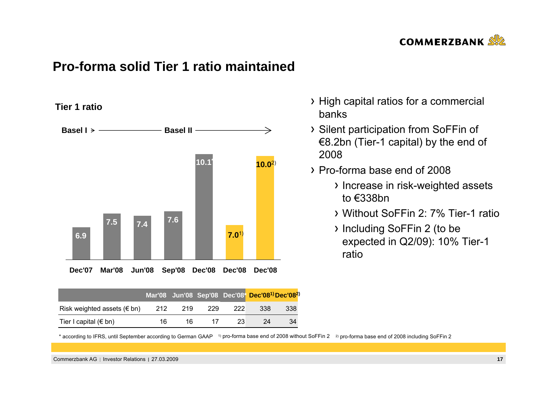

### **Pro-forma solid Tier 1 ratio maintained**

**Tier 1 ratio**



|                                     |     |     |     |     | Mar'08 Jun'08 Sep'08 Dec'08* Dec'08 <sup>1)</sup> Dec'08 <sup>2</sup> |     |
|-------------------------------------|-----|-----|-----|-----|-----------------------------------------------------------------------|-----|
| Risk weighted assets ( $\notin$ bn) | 212 | 219 | 229 | 222 | 338                                                                   | 338 |
| Tier I capital ( $\notin$ bn)       | 16  | 16  | 17  | 23. | 24                                                                    | 34  |

- High capital ratios for a commercial banks
- Silent participation from SoFFin of €8.2bn (Tier-1 capital) by the end of 2008
- Pro-forma base end of 2008
	- > Increase in risk-weighted assets to €338bn
	- Without SoFFin 2: 7% Tier-1 ratio
	- Including SoFFin 2 (to be expected in Q2/09): 10% Tier-1 ratio

\* according to IFRS, until September according to German GAAP 1) pro-forma base end of 2008 without SoFFin 2 2) pro-forma base end of 2008 including SoFFin 2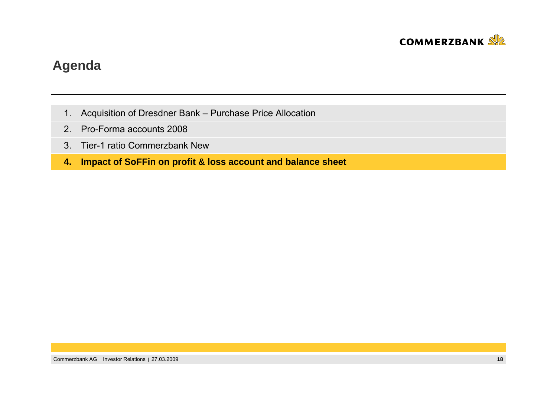

### **Agenda**

- 1. Acquisition of Dresdner Bank Purchase Price Allocation
- 2. Pro-Forma accounts 2008
- 3. Tier-1 ratio Commerzbank New
- **4. Impact of SoFFin on profit & loss account and balance sheet**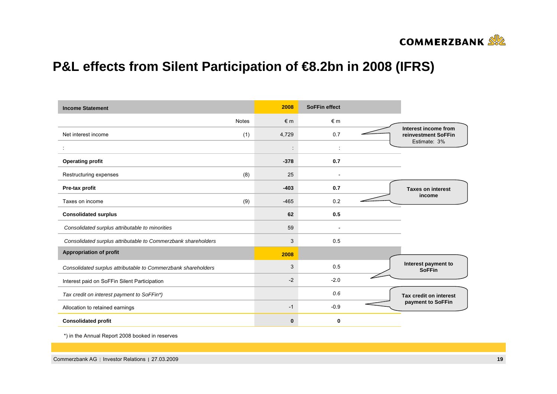

## **P&L effects from Silent Participation of €8.2bn in 2008 (IFRS)**

| <b>Income Statement</b>                                       |              | 2008       | <b>SoFFin effect</b> |  |                                             |  |
|---------------------------------------------------------------|--------------|------------|----------------------|--|---------------------------------------------|--|
|                                                               | <b>Notes</b> | $\notin$ m | $\epsilon$ m         |  |                                             |  |
| Net interest income                                           | (1)          | 4,729      | 0.7                  |  | Interest income from<br>reinvestment SoFFin |  |
|                                                               |              |            |                      |  | Estimate: 3%                                |  |
| <b>Operating profit</b>                                       |              | $-378$     | 0.7                  |  |                                             |  |
| Restructuring expenses                                        | (8)          | 25         |                      |  |                                             |  |
| Pre-tax profit                                                |              | $-403$     | 0.7                  |  | <b>Taxes on interest</b>                    |  |
| Taxes on income                                               | (9)          | $-465$     | 0.2                  |  | income                                      |  |
| <b>Consolidated surplus</b>                                   |              | 62         | 0.5                  |  |                                             |  |
| Consolidated surplus attributable to minorities               |              | 59         |                      |  |                                             |  |
| Consolidated surplus attributable to Commerzbank shareholders |              | 3          | 0.5                  |  |                                             |  |
| <b>Appropriation of profit</b>                                |              | 2008       |                      |  |                                             |  |
| Consolidated surplus attributable to Commerzbank shareholders |              | 3          | 0.5                  |  | Interest payment to<br><b>SoFFin</b>        |  |
| Interest paid on SoFFin Silent Participation                  |              | $-2$       | $-2.0$               |  |                                             |  |
| Tax credit on interest payment to SoFFin*)                    |              |            | 0.6                  |  | Tax credit on interest<br>payment to SoFFin |  |
| Allocation to retained earnings                               |              | $-1$       | $-0.9$               |  |                                             |  |
| <b>Consolidated profit</b>                                    |              | $\bf{0}$   | 0                    |  |                                             |  |

\*) in the Annual Report 2008 booked in reserves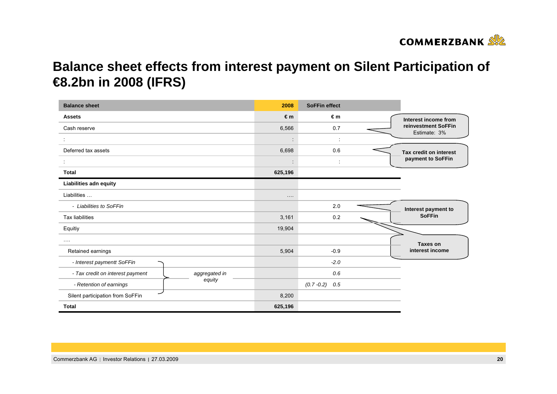

# **Balance sheet effects from interest payment on Silent Participation of €8.2bn in 2008 (IFRS)**

| <b>Balance sheet</b>             |               | 2008                 | <b>SoFFin effect</b> |  |                                     |  |
|----------------------------------|---------------|----------------------|----------------------|--|-------------------------------------|--|
| <b>Assets</b>                    |               | €m                   | €m                   |  | Interest income from                |  |
| Cash reserve                     |               | 6,566                | 0.7                  |  | reinvestment SoFFin<br>Estimate: 3% |  |
|                                  |               |                      |                      |  |                                     |  |
| Deferred tax assets              |               | 6,698                | 0.6                  |  | Tax credit on interest              |  |
|                                  |               | $\cdot$<br>$\bullet$ | ÷                    |  | payment to SoFFin                   |  |
| <b>Total</b>                     |               | 625,196              |                      |  |                                     |  |
| Liabilities adn equity           |               |                      |                      |  |                                     |  |
| Liabilities                      |               | $\cdots$             |                      |  |                                     |  |
| - Liabilities to SoFFin          |               |                      | 2.0                  |  | Interest payment to                 |  |
| <b>Tax liabilities</b>           |               | 3,161                | 0.2                  |  | <b>SoFFin</b>                       |  |
| Equitiy                          |               | 19,904               |                      |  |                                     |  |
| $\cdots$                         |               |                      |                      |  | Taxes on<br>interest income         |  |
| Retained earnings                |               | 5,904                | $-0.9$               |  |                                     |  |
| - Interest paymentt SoFFin       |               |                      | $-2.0$               |  |                                     |  |
| - Tax credit on interest payment | aggregated in |                      | 0.6                  |  |                                     |  |
| - Retention of earnings          | equity        |                      | $(0.7 - 0.2)$<br>0.5 |  |                                     |  |
| Silent participation from SoFFin |               | 8,200                |                      |  |                                     |  |
| <b>Total</b>                     |               | 625,196              |                      |  |                                     |  |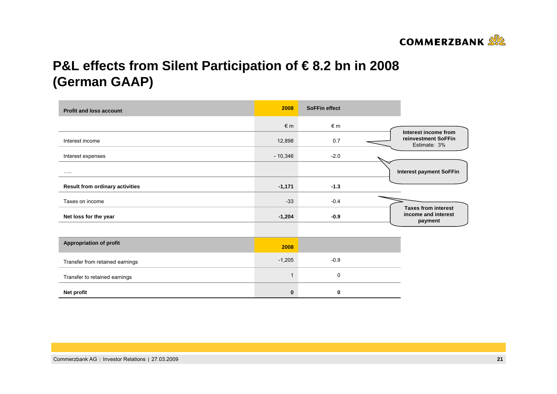

# **P&L effects from Silent Participation of € 8.2 bn in 2008 (German GAAP)**

| <b>Profit and loss account</b>         | 2008           | <b>SoFFin effect</b> |                                     |
|----------------------------------------|----------------|----------------------|-------------------------------------|
|                                        | $\n  in\n$     | $\notin$ m           | Interest income from                |
| Interest income                        | 12,898         | 0.7                  | reinvestment SoFFin<br>Estimate: 3% |
| Interest expenses                      | $-10,346$      | $-2.0$               |                                     |
|                                        |                |                      | <b>Interest payment SoFFin</b>      |
| <b>Result from ordinary activities</b> | $-1,171$       | $-1.3$               |                                     |
| Taxes on income                        | $-33$          | $-0.4$               | <b>Taxes from interest</b>          |
| Net loss for the year                  | $-1,204$       | $-0.9$               | income and interest<br>payment      |
|                                        |                |                      |                                     |
| <b>Appropriation of profit</b>         | 2008           |                      |                                     |
| Transfer from retained earnings        | $-1,205$       | $-0.9$               |                                     |
| Transfer to retained earnings          | $\overline{1}$ | $\mathbf 0$          |                                     |
| Net profit                             | $\bf{0}$       | 0                    |                                     |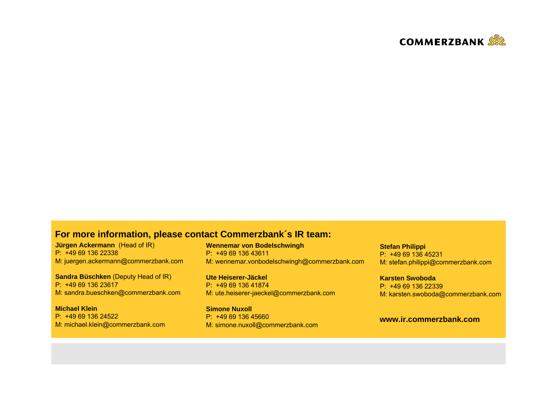

#### **For more information, please contact Commerzbank´s IR team:**

**Jürgen Ackermann** (Head of IR) P: +49 69 136 22338M: juergen.ackermann@commerzbank.com

**Sandra Büschken** (Deputy Head of IR) P: +49 69 136 23617M: sandra.bueschken@commerzbank.com

**Michael Klein**P: +49 69 136 24522M: michael.klein@commerzbank.com **Wennemar von Bodelschwingh** P: +49 69 136 43611M: wennemar.vonbodelschwingh@commerzbank.com

**Ute Heiserer-Jäckel** P: +49 69 136 41874 M: ute.heiserer-jaeckel@commerzbank.com

**Simone Nuxoll**P: +49 69 136 45660 M: simone.nuxoll@commerzbank.com

**Stefan Philippi** P: +49 69 136 45231M: stefan.philippi@commerzbank.com

**Karsten Swoboda**P: +49 69 136 22339 M: karsten.swoboda@commerzbank.com

#### **www.ir.commerzbank.com**